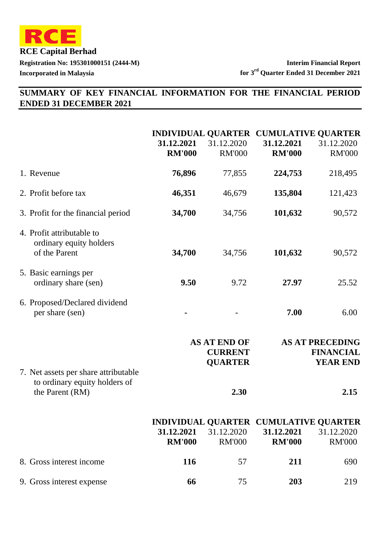

# **SUMMARY OF KEY FINANCIAL INFORMATION FOR THE FINANCIAL PERIOD ENDED 31 DECEMBER 2021**

|                                                                       | 31.12.2021<br><b>RM'000</b> | 31.12.2020<br><b>RM'000</b>                             | INDIVIDUAL QUARTER CUMULATIVE QUARTER<br>31.12.2021<br><b>RM'000</b> | 31.12.2020<br><b>RM'000</b>                                   |
|-----------------------------------------------------------------------|-----------------------------|---------------------------------------------------------|----------------------------------------------------------------------|---------------------------------------------------------------|
| 1. Revenue                                                            | 76,896                      | 77,855                                                  | 224,753                                                              | 218,495                                                       |
| 2. Profit before tax                                                  | 46,351                      | 46,679                                                  | 135,804                                                              | 121,423                                                       |
| 3. Profit for the financial period                                    | 34,700                      | 34,756                                                  | 101,632                                                              | 90,572                                                        |
| 4. Profit attributable to<br>ordinary equity holders<br>of the Parent | 34,700                      | 34,756                                                  | 101,632                                                              | 90,572                                                        |
| 5. Basic earnings per<br>ordinary share (sen)                         | 9.50                        | 9.72                                                    | 27.97                                                                | 25.52                                                         |
| 6. Proposed/Declared dividend<br>per share (sen)                      |                             |                                                         | 7.00                                                                 | 6.00                                                          |
| 7. Net assets per share attributable<br>to ordinary equity holders of |                             | <b>AS AT END OF</b><br><b>CURRENT</b><br><b>QUARTER</b> |                                                                      | <b>AS AT PRECEDING</b><br><b>FINANCIAL</b><br><b>YEAR END</b> |
| the Parent (RM)                                                       |                             | 2.30                                                    |                                                                      | 2.15                                                          |
|                                                                       | 31.12.2021<br><b>RM'000</b> | 31.12.2020<br><b>RM'000</b>                             | INDIVIDUAL QUARTER CUMULATIVE QUARTER<br>31.12.2021<br><b>RM'000</b> | 31.12.2020<br><b>RM'000</b>                                   |
| 8. Gross interest income                                              | 116                         | 57                                                      | 211                                                                  | 690                                                           |
| 9. Gross interest expense                                             | 66                          | 75                                                      | 203                                                                  | 219                                                           |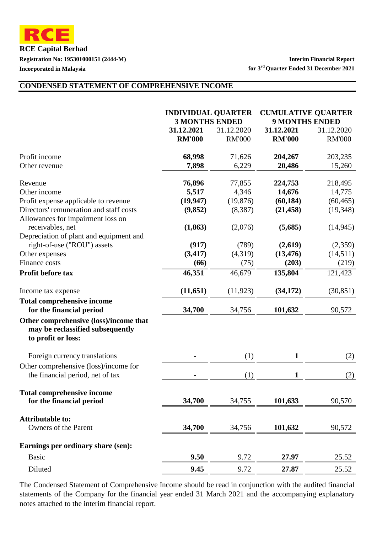**RCE Capital Berhad Registration No: 195301000151 (2444-M) Interim Financial Report**

**Incorporated in Malaysia for 3rd Quarter Ended 31 December 2021**

#### **CONDENSED STATEMENT OF COMPREHENSIVE INCOME**

|                                                                                                  | <b>INDIVIDUAL QUARTER</b><br><b>3 MONTHS ENDED</b> |                               | <b>CUMULATIVE QUARTER</b><br><b>9 MONTHS ENDED</b> |                                  |
|--------------------------------------------------------------------------------------------------|----------------------------------------------------|-------------------------------|----------------------------------------------------|----------------------------------|
|                                                                                                  | 31.12.2021<br><b>RM'000</b>                        | 31.12.2020<br><b>RM'000</b>   | 31.12.2021<br><b>RM'000</b>                        | 31.12.2020<br><b>RM'000</b>      |
| Profit income<br>Other revenue                                                                   | 68,998<br>7,898                                    | 71,626<br>6,229               | 204,267<br>20,486                                  | 203,235<br>15,260                |
| Revenue<br>Other income                                                                          | 76,896                                             | 77,855                        | 224,753                                            | 218,495                          |
| Profit expense applicable to revenue<br>Directors' remuneration and staff costs                  | 5,517<br>(19, 947)<br>(9,852)                      | 4,346<br>(19, 876)<br>(8,387) | 14,676<br>(60, 184)<br>(21, 458)                   | 14,775<br>(60, 465)<br>(19, 348) |
| Allowances for impairment loss on<br>receivables, net                                            | (1, 863)                                           | (2,076)                       | (5,685)                                            | (14, 945)                        |
| Depreciation of plant and equipment and<br>right-of-use ("ROU") assets<br>Other expenses         | (917)<br>(3, 417)                                  | (789)<br>(4,319)              | (2,619)<br>(13, 476)                               | (2,359)<br>(14,511)              |
| <b>Finance costs</b>                                                                             | (66)                                               | (75)                          | (203)                                              | (219)                            |
| Profit before tax                                                                                | 46,351                                             | 46,679                        | 135,804                                            | 121,423                          |
| Income tax expense                                                                               | (11, 651)                                          | (11, 923)                     | (34, 172)                                          | (30, 851)                        |
| <b>Total comprehensive income</b><br>for the financial period                                    | 34,700                                             | 34,756                        | 101,632                                            | 90,572                           |
| Other comprehensive (loss)/income that<br>may be reclassified subsequently<br>to profit or loss: |                                                    |                               |                                                    |                                  |
| Foreign currency translations                                                                    |                                                    | (1)                           | $\mathbf{1}$                                       | (2)                              |
| Other comprehensive (loss)/income for<br>the financial period, net of tax                        |                                                    | (1)                           | $\mathbf{1}$                                       | (2)                              |
| <b>Total comprehensive income</b><br>for the financial period                                    | 34,700                                             | 34,755                        | 101,633                                            | 90,570                           |
| <b>Attributable to:</b><br>Owners of the Parent                                                  | 34,700                                             | 34,756                        | 101,632                                            | 90,572                           |
| Earnings per ordinary share (sen):                                                               |                                                    |                               |                                                    |                                  |
| <b>Basic</b>                                                                                     | 9.50                                               | 9.72                          | 27.97                                              | 25.52                            |
| Diluted                                                                                          | 9.45                                               | 9.72                          | 27.87                                              | 25.52                            |

The Condensed Statement of Comprehensive Income should be read in conjunction with the audited financial statements of the Company for the financial year ended 31 March 2021 and the accompanying explanatory notes attached to the interim financial report.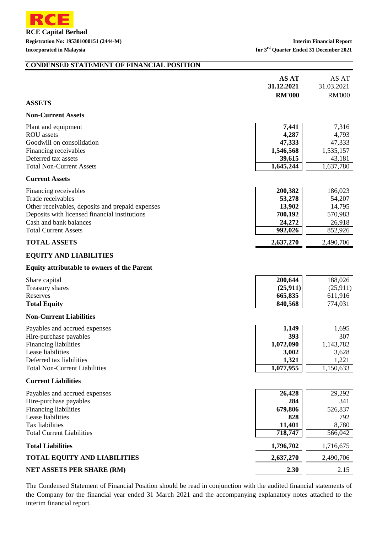

#### **CONDENSED STATEMENT OF FINANCIAL POSITION**

|                                                                                                                                                                                                          | <b>AS AT</b><br>31.12.2021<br><b>RM'000</b>                  | AS AT<br>31.03.2021<br><b>RM'000</b>                         |
|----------------------------------------------------------------------------------------------------------------------------------------------------------------------------------------------------------|--------------------------------------------------------------|--------------------------------------------------------------|
| <b>ASSETS</b>                                                                                                                                                                                            |                                                              |                                                              |
| <b>Non-Current Assets</b>                                                                                                                                                                                |                                                              |                                                              |
| Plant and equipment<br><b>ROU</b> assets<br>Goodwill on consolidation<br>Financing receivables<br>Deferred tax assets<br><b>Total Non-Current Assets</b>                                                 | 7,441<br>4,287<br>47,333<br>1,546,568<br>39,615<br>1,645,244 | 7,316<br>4,793<br>47,333<br>1,535,157<br>43,181<br>1,637,780 |
| <b>Current Assets</b>                                                                                                                                                                                    |                                                              |                                                              |
| Financing receivables<br>Trade receivables<br>Other receivables, deposits and prepaid expenses<br>Deposits with licensed financial institutions<br>Cash and bank balances<br><b>Total Current Assets</b> | 200,382<br>53,278<br>13,902<br>700,192<br>24,272<br>992,026  | 186,023<br>54,207<br>14,795<br>570,983<br>26,918<br>852,926  |
| <b>TOTAL ASSETS</b>                                                                                                                                                                                      | 2,637,270                                                    | 2,490,706                                                    |
| <b>EQUITY AND LIABILITIES</b><br><b>Equity attributable to owners of the Parent</b><br>Share capital<br>Treasury shares<br>Reserves<br><b>Total Equity</b>                                               | 200,644<br>(25, 911)<br>665,835<br>840,568                   | 188,026<br>(25,911)<br>611,916<br>774,031                    |
| <b>Non-Current Liabilities</b>                                                                                                                                                                           |                                                              |                                                              |
| Payables and accrued expenses<br>Hire-purchase payables<br><b>Financing liabilities</b><br>Lease liabilities<br>Deferred tax liabilities<br><b>Total Non-Current Liabilities</b>                         | 1,149<br>393<br>1,072,090<br>3,002<br>1,321<br>1,077,955     | 1,695<br>307<br>1,143,782<br>3,628<br>1,221<br>1,150,633     |
| <b>Current Liabilities</b>                                                                                                                                                                               |                                                              |                                                              |
| Payables and accrued expenses<br>Hire-purchase payables<br>Financing liabilities<br>Lease liabilities<br>Tax liabilities<br><b>Total Current Liabilities</b>                                             | 26,428<br>284<br>679,806<br>828<br>11,401<br>718,747         | 29,292<br>341<br>526,837<br>792<br>8,780<br>566,042          |
| <b>Total Liabilities</b>                                                                                                                                                                                 | 1,796,702                                                    | 1,716,675                                                    |
| <b>TOTAL EQUITY AND LIABILITIES</b>                                                                                                                                                                      | 2,637,270                                                    | 2,490,706                                                    |
| <b>NET ASSETS PER SHARE (RM)</b>                                                                                                                                                                         | 2.30                                                         | 2.15                                                         |

The Condensed Statement of Financial Position should be read in conjunction with the audited financial statements of the Company for the financial year ended 31 March 2021 and the accompanying explanatory notes attached to the interim financial report.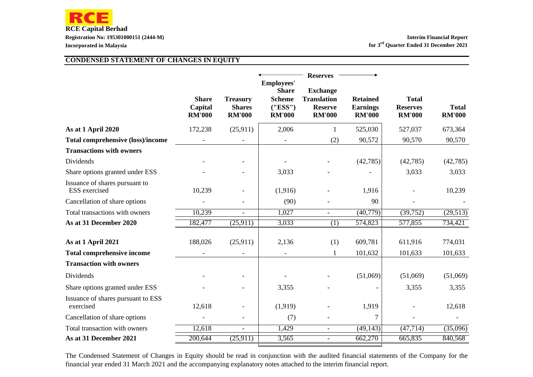

#### **CONDENSED STATEMENT OF CHANGES IN EQUITY**

|                                                        | <b>Share</b><br>Capital<br><b>RM'000</b> | <b>Treasury</b><br><b>Shares</b><br><b>RM'000</b> | <b>Employees'</b><br><b>Share</b><br><b>Scheme</b><br>(''ESS'')<br><b>RM'000</b> | <b>Reserves</b><br><b>Exchange</b><br><b>Translation</b><br><b>Reserve</b><br><b>RM'000</b> | <b>Retained</b><br><b>Earnings</b><br><b>RM'000</b> | <b>Total</b><br><b>Reserves</b><br><b>RM'000</b> | <b>Total</b><br><b>RM'000</b> |
|--------------------------------------------------------|------------------------------------------|---------------------------------------------------|----------------------------------------------------------------------------------|---------------------------------------------------------------------------------------------|-----------------------------------------------------|--------------------------------------------------|-------------------------------|
| As at 1 April 2020                                     | 172,238                                  | (25,911)                                          | 2,006                                                                            | 1                                                                                           | 525,030                                             | 527,037                                          | 673,364                       |
| <b>Total comprehensive (loss)/income</b>               |                                          |                                                   |                                                                                  | (2)                                                                                         | 90,572                                              | 90,570                                           | 90,570                        |
| <b>Transactions with owners</b>                        |                                          |                                                   |                                                                                  |                                                                                             |                                                     |                                                  |                               |
| Dividends                                              |                                          |                                                   |                                                                                  |                                                                                             | (42, 785)                                           | (42, 785)                                        | (42, 785)                     |
| Share options granted under ESS                        |                                          |                                                   | 3,033                                                                            |                                                                                             |                                                     | 3,033                                            | 3,033                         |
| Issuance of shares pursuant to<br><b>ESS</b> exercised | 10,239                                   |                                                   | (1,916)                                                                          |                                                                                             | 1,916                                               |                                                  | 10,239                        |
| Cancellation of share options                          |                                          |                                                   | (90)                                                                             |                                                                                             | 90                                                  |                                                  |                               |
| Total transactions with owners                         | 10,239                                   |                                                   | 1,027                                                                            |                                                                                             | (40,779)                                            | (39, 752)                                        | (29, 513)                     |
| As at 31 December 2020                                 | 182,477                                  | (25,911)                                          | 3,033                                                                            | (1)                                                                                         | 574,823                                             | 577,855                                          | 734,421                       |
| As at 1 April 2021                                     | 188,026                                  | (25,911)                                          | 2,136                                                                            | (1)                                                                                         | 609,781                                             | 611,916                                          | 774,031                       |
| <b>Total comprehensive income</b>                      |                                          |                                                   |                                                                                  | 1                                                                                           | 101,632                                             | 101,633                                          | 101,633                       |
| <b>Transaction with owners</b>                         |                                          |                                                   |                                                                                  |                                                                                             |                                                     |                                                  |                               |
| Dividends                                              |                                          |                                                   |                                                                                  |                                                                                             | (51,069)                                            | (51,069)                                         | (51,069)                      |
| Share options granted under ESS                        |                                          |                                                   | 3,355                                                                            |                                                                                             |                                                     | 3,355                                            | 3,355                         |
| Issuance of shares pursuant to ESS<br>exercised        | 12,618                                   |                                                   | (1,919)                                                                          |                                                                                             | 1,919                                               |                                                  | 12,618                        |
| Cancellation of share options                          |                                          |                                                   | (7)                                                                              |                                                                                             | 7                                                   |                                                  |                               |
| Total transaction with owners                          | 12,618                                   | $\overline{\phantom{a}}$                          | 1,429                                                                            | $\overline{\phantom{a}}$                                                                    | $\overline{(49,143)}$                               | (47, 714)                                        | (35,096)                      |
| As at 31 December 2021                                 | 200,644                                  | (25,911)                                          | 3,565                                                                            |                                                                                             | 662,270                                             | 665,835                                          | 840,568                       |

The Condensed Statement of Changes in Equity should be read in conjunction with the audited financial statements of the Company for the financial year ended 31 March 2021 and the accompanying explanatory notes attached to the interim financial report.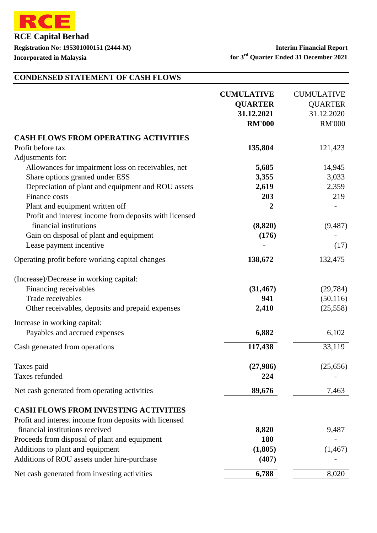

# **CONDENSED STATEMENT OF CASH FLOWS**

|                                                        | <b>CUMULATIVE</b><br><b>QUARTER</b><br>31.12.2021<br><b>RM'000</b> | <b>CUMULATIVE</b><br><b>QUARTER</b><br>31.12.2020<br><b>RM'000</b> |
|--------------------------------------------------------|--------------------------------------------------------------------|--------------------------------------------------------------------|
| <b>CASH FLOWS FROM OPERATING ACTIVITIES</b>            |                                                                    |                                                                    |
| Profit before tax                                      | 135,804                                                            | 121,423                                                            |
| Adjustments for:                                       |                                                                    |                                                                    |
| Allowances for impairment loss on receivables, net     | 5,685                                                              | 14,945                                                             |
| Share options granted under ESS                        | 3,355                                                              | 3,033                                                              |
| Depreciation of plant and equipment and ROU assets     | 2,619                                                              | 2,359                                                              |
| Finance costs                                          | 203                                                                | 219                                                                |
| Plant and equipment written off                        | $\boldsymbol{2}$                                                   |                                                                    |
| Profit and interest income from deposits with licensed |                                                                    |                                                                    |
| financial institutions                                 | (8, 820)                                                           | (9, 487)                                                           |
| Gain on disposal of plant and equipment                | (176)                                                              |                                                                    |
| Lease payment incentive                                |                                                                    | (17)                                                               |
| Operating profit before working capital changes        | 138,672                                                            | 132,475                                                            |
| (Increase)/Decrease in working capital:                |                                                                    |                                                                    |
| Financing receivables                                  | (31, 467)                                                          | (29, 784)                                                          |
| Trade receivables                                      | 941                                                                | (50, 116)                                                          |
| Other receivables, deposits and prepaid expenses       | 2,410                                                              | (25,558)                                                           |
| Increase in working capital:                           |                                                                    |                                                                    |
| Payables and accrued expenses                          | 6,882                                                              | 6,102                                                              |
| Cash generated from operations                         | 117,438                                                            | 33,119                                                             |
| Taxes paid                                             | (27,986)                                                           | (25,656)                                                           |
| Taxes refunded                                         | 224                                                                |                                                                    |
| Net cash generated from operating activities           | 89,676                                                             | 7,463                                                              |
| <b>CASH FLOWS FROM INVESTING ACTIVITIES</b>            |                                                                    |                                                                    |
| Profit and interest income from deposits with licensed |                                                                    |                                                                    |
| financial institutions received                        | 8,820                                                              | 9,487                                                              |
| Proceeds from disposal of plant and equipment          | <b>180</b>                                                         |                                                                    |
| Additions to plant and equipment                       | (1,805)                                                            | (1, 467)                                                           |
| Additions of ROU assets under hire-purchase            | (407)                                                              |                                                                    |
| Net cash generated from investing activities           | 6,788                                                              | 8,020                                                              |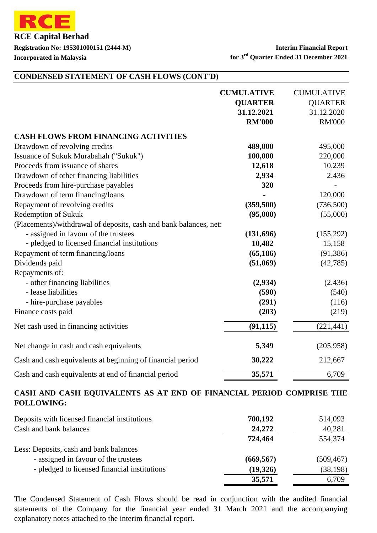

#### **Registration No: 195301000151 (2444-M) Interim Financial Report Incorporated in Malaysia for 3rd Quarter Ended 31 December 2021**

#### **CONDENSED STATEMENT OF CASH FLOWS (CONT'D)**

|                                                                   | <b>CUMULATIVE</b><br><b>QUARTER</b><br>31.12.2021<br><b>RM'000</b> | <b>CUMULATIVE</b><br><b>QUARTER</b><br>31.12.2020<br><b>RM'000</b> |
|-------------------------------------------------------------------|--------------------------------------------------------------------|--------------------------------------------------------------------|
| <b>CASH FLOWS FROM FINANCING ACTIVITIES</b>                       |                                                                    |                                                                    |
| Drawdown of revolving credits                                     | 489,000                                                            | 495,000                                                            |
| Issuance of Sukuk Murabahah ("Sukuk")                             | 100,000                                                            | 220,000                                                            |
| Proceeds from issuance of shares                                  | 12,618                                                             | 10,239                                                             |
| Drawdown of other financing liabilities                           | 2,934                                                              | 2,436                                                              |
| Proceeds from hire-purchase payables                              | 320                                                                |                                                                    |
| Drawdown of term financing/loans                                  |                                                                    | 120,000                                                            |
| Repayment of revolving credits                                    | (359, 500)                                                         | (736,500)                                                          |
| <b>Redemption of Sukuk</b>                                        | (95,000)                                                           | (55,000)                                                           |
| (Placements)/withdrawal of deposits, cash and bank balances, net: |                                                                    |                                                                    |
| - assigned in favour of the trustees                              | (131,696)                                                          | (155,292)                                                          |
| - pledged to licensed financial institutions                      | 10,482                                                             | 15,158                                                             |
| Repayment of term financing/loans                                 | (65, 186)                                                          | (91, 386)                                                          |
| Dividends paid                                                    | (51,069)                                                           | (42, 785)                                                          |
| Repayments of:                                                    |                                                                    |                                                                    |
| - other financing liabilities                                     | (2,934)                                                            | (2, 436)                                                           |
| - lease liabilities                                               | (590)                                                              | (540)                                                              |
| - hire-purchase payables                                          | (291)                                                              | (116)                                                              |
| Finance costs paid                                                | (203)                                                              | (219)                                                              |
| Net cash used in financing activities                             | (91, 115)                                                          | (221, 441)                                                         |
| Net change in cash and cash equivalents                           | 5,349                                                              | (205, 958)                                                         |
| Cash and cash equivalents at beginning of financial period        | 30,222                                                             | 212,667                                                            |
| Cash and cash equivalents at end of financial period              | 35,571                                                             | 6,709                                                              |

#### **CASH AND CASH EQUIVALENTS AS AT END OF FINANCIAL PERIOD COMPRISE THE FOLLOWING:**

| Deposits with licensed financial institutions | 700,192    | 514,093    |
|-----------------------------------------------|------------|------------|
| Cash and bank balances                        | 24,272     | 40,281     |
|                                               | 724,464    | 554,374    |
| Less: Deposits, cash and bank balances        |            |            |
| - assigned in favour of the trustees          | (669, 567) | (509, 467) |
| - pledged to licensed financial institutions  | (19,326)   | (38, 198)  |
|                                               | 35,571     | 6,709      |

The Condensed Statement of Cash Flows should be read in conjunction with the audited financial statements of the Company for the financial year ended 31 March 2021 and the accompanying explanatory notes attached to the interim financial report.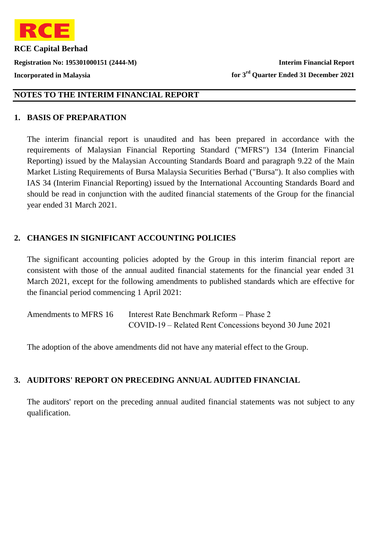

# **NOTES TO THE INTERIM FINANCIAL REPORT**

#### **1. BASIS OF PREPARATION**

The interim financial report is unaudited and has been prepared in accordance with the requirements of Malaysian Financial Reporting Standard ("MFRS") 134 (Interim Financial Reporting) issued by the Malaysian Accounting Standards Board and paragraph 9.22 of the Main Market Listing Requirements of Bursa Malaysia Securities Berhad ("Bursa"). It also complies with IAS 34 (Interim Financial Reporting) issued by the International Accounting Standards Board and should be read in conjunction with the audited financial statements of the Group for the financial year ended 31 March 2021.

## 2. CHANGES IN SIGNIFICANT ACCOUNTING POLICIES

The significant accounting policies adopted by the Group in this interim financial report are consistent with those of the annual audited financial statements for the financial year ended 31 March 2021, except for the following amendments to published standards which are effective for the financial period commencing 1 April 2021:

| Amendments to MFRS 16 | Interest Rate Benchmark Reform – Phase 2                |
|-----------------------|---------------------------------------------------------|
|                       | COVID-19 – Related Rent Concessions beyond 30 June 2021 |

The adoption of the above amendments did not have any material effect to the Group.

## **3. AUDITORS' REPORT ON PRECEDING ANNUAL AUDITED FINANCIAL**

The auditors' report on the preceding annual audited financial statements was not subject to any qualification.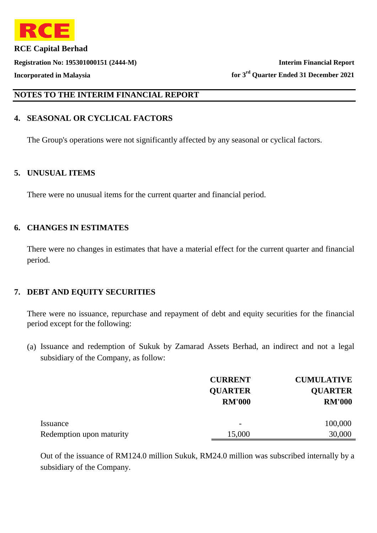

## **NOTES TO THE INTERIM FINANCIAL REPORT**

## **4. SEASONAL OR CYCLICAL FACTORS**

The Group's operations were not significantly affected by any seasonal or cyclical factors.

#### **5. UNUSUAL ITEMS**

There were no unusual items for the current quarter and financial period.

#### **6. CHANGES IN ESTIMATES**

There were no changes in estimates that have a material effect for the current quarter and financial period.

## **7. DEBT AND EQUITY SECURITIES**

There were no issuance, repurchase and repayment of debt and equity securities for the financial period except for the following:

(a) Issuance and redemption of Sukuk by Zamarad Assets Berhad, an indirect and not a legal subsidiary of the Company, as follow:

|                          | <b>CURRENT</b>           | <b>CUMULATIVE</b> |
|--------------------------|--------------------------|-------------------|
|                          | <b>QUARTER</b>           | <b>QUARTER</b>    |
|                          | <b>RM'000</b>            | <b>RM'000</b>     |
|                          |                          |                   |
| Issuance                 | $\overline{\phantom{0}}$ | 100,000           |
| Redemption upon maturity | 15,000                   | 30,000            |

Out of the issuance of RM124.0 million Sukuk, RM24.0 million was subscribed internally by a subsidiary of the Company.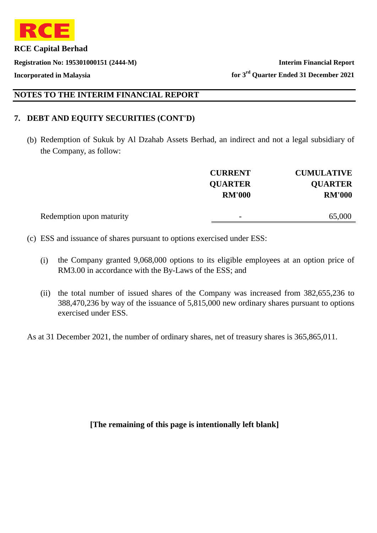

# **NOTES TO THE INTERIM FINANCIAL REPORT**

## **7. DEBT AND EQUITY SECURITIES (CONT'D)**

(b) Redemption of Sukuk by Al Dzahab Assets Berhad, an indirect and not a legal subsidiary of the Company, as follow:

|                          | <b>CURRENT</b>           | <b>CUMULATIVE</b> |
|--------------------------|--------------------------|-------------------|
|                          | <b>QUARTER</b>           | <b>QUARTER</b>    |
|                          | <b>RM'000</b>            | <b>RM'000</b>     |
|                          |                          |                   |
| Redemption upon maturity | $\overline{\phantom{0}}$ | 65,000            |
|                          |                          |                   |

(c) ESS and issuance of shares pursuant to options exercised under ESS:

- (i) the Company granted 9,068,000 options to its eligible employees at an option price of RM3.00 in accordance with the By-Laws of the ESS; and
- (ii) the total number of issued shares of the Company was increased from 382,655,236 to 388,470,236 by way of the issuance of 5,815,000 new ordinary shares pursuant to options exercised under ESS.

As at 31 December 2021, the number of ordinary shares, net of treasury shares is 365,865,011.

**[The remaining of this page is intentionally left blank]**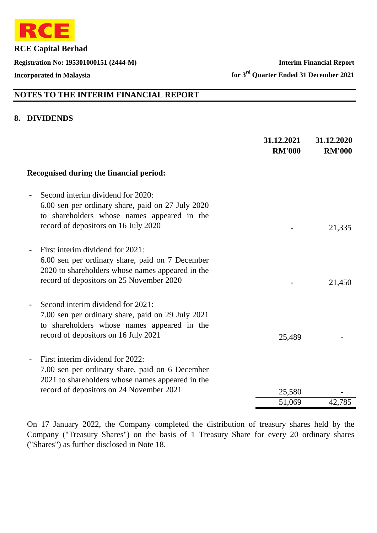

**Registration No: 195301000151 (2444-M) Interim Financial Report**

**Incorporated in Malaysia for 3rd Quarter Ended 31 December 2021**

# **NOTES TO THE INTERIM FINANCIAL REPORT**

#### **8. DIVIDENDS**

|                                                                                                                                                                                     | 31.12.2021<br><b>RM'000</b> | 31.12.2020<br><b>RM'000</b> |
|-------------------------------------------------------------------------------------------------------------------------------------------------------------------------------------|-----------------------------|-----------------------------|
| Recognised during the financial period:                                                                                                                                             |                             |                             |
| Second interim dividend for 2020:<br>6.00 sen per ordinary share, paid on 27 July 2020<br>to shareholders whose names appeared in the<br>record of depositors on 16 July 2020       |                             | 21,335                      |
| First interim dividend for 2021:<br>6.00 sen per ordinary share, paid on 7 December<br>2020 to shareholders whose names appeared in the<br>record of depositors on 25 November 2020 |                             | 21,450                      |
| Second interim dividend for 2021:<br>7.00 sen per ordinary share, paid on 29 July 2021<br>to shareholders whose names appeared in the<br>record of depositors on 16 July 2021       | 25,489                      |                             |
| First interim dividend for 2022:<br>7.00 sen per ordinary share, paid on 6 December<br>2021 to shareholders whose names appeared in the<br>record of depositors on 24 November 2021 | 25,580<br>51,069            | 42,785                      |

On 17 January 2022, the Company completed the distribution of treasury shares held by the Company ("Treasury Shares") on the basis of 1 Treasury Share for every 20 ordinary shares ("Shares") as further disclosed in Note 18.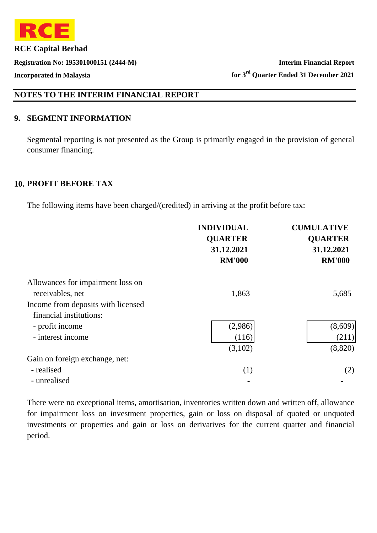

# **NOTES TO THE INTERIM FINANCIAL REPORT**

### **9. SEGMENT INFORMATION**

Segmental reporting is not presented as the Group is primarily engaged in the provision of general consumer financing.

#### **10. PROFIT BEFORE TAX**

The following items have been charged/(credited) in arriving at the profit before tax:

|                                    | <b>INDIVIDUAL</b><br><b>QUARTER</b><br>31.12.2021<br><b>RM'000</b> | <b>CUMULATIVE</b><br><b>QUARTER</b><br>31.12.2021<br><b>RM'000</b> |
|------------------------------------|--------------------------------------------------------------------|--------------------------------------------------------------------|
| Allowances for impairment loss on  |                                                                    |                                                                    |
| receivables, net                   | 1,863                                                              | 5,685                                                              |
| Income from deposits with licensed |                                                                    |                                                                    |
| financial institutions:            |                                                                    |                                                                    |
| - profit income                    | (2,986)                                                            | (8,609)                                                            |
| - interest income                  | (116)                                                              | (211)                                                              |
|                                    | (3,102)                                                            | (8,820)                                                            |
| Gain on foreign exchange, net:     |                                                                    |                                                                    |
| - realised                         | (1)                                                                | (2)                                                                |
| - unrealised                       |                                                                    |                                                                    |

There were no exceptional items, amortisation, inventories written down and written off, allowance for impairment loss on investment properties, gain or loss on disposal of quoted or unquoted investments or properties and gain or loss on derivatives for the current quarter and financial period.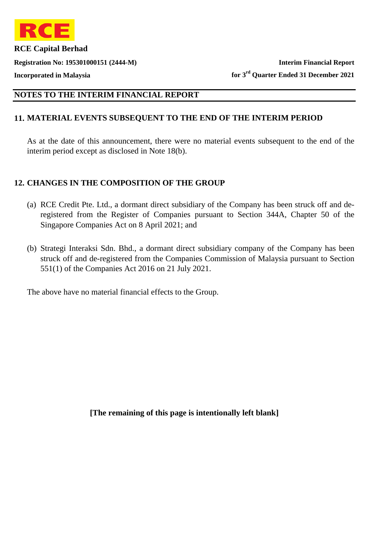

**Registration No: 195301000151 (2444-M) Interim Financial Report Incorporated in Malaysia for 3rd Quarter Ended 31 December 2021**

# **NOTES TO THE INTERIM FINANCIAL REPORT**

## **11. MATERIAL EVENTS SUBSEQUENT TO THE END OF THE INTERIM PERIOD**

As at the date of this announcement, there were no material events subsequent to the end of the interim period except as disclosed in Note 18(b).

### **12. CHANGES IN THE COMPOSITION OF THE GROUP**

- (a) RCE Credit Pte. Ltd., a dormant direct subsidiary of the Company has been struck off and deregistered from the Register of Companies pursuant to Section 344A, Chapter 50 of the Singapore Companies Act on 8 April 2021; and
- (b) Strategi Interaksi Sdn. Bhd., a dormant direct subsidiary company of the Company has been struck off and de-registered from the Companies Commission of Malaysia pursuant to Section 551(1) of the Companies Act 2016 on 21 July 2021.

The above have no material financial effects to the Group.

**[The remaining of this page is intentionally left blank]**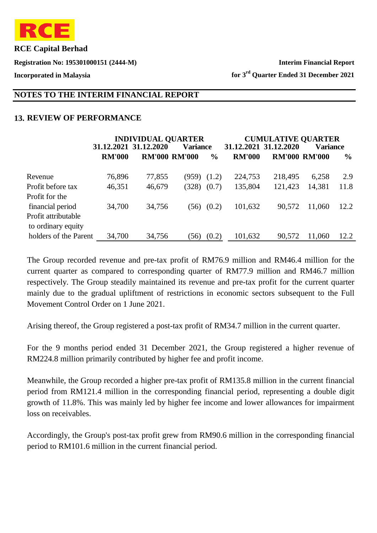

**Registration No: 195301000151 (2444-M) Interim Financial Report**

**Incorporated in Malaysia for 3rd Quarter Ended 31 December 2021**

## **NOTES TO THE INTERIM FINANCIAL REPORT**

## **13. REVIEW OF PERFORMANCE**

|                       |               | <b>INDIVIDUAL QUARTER</b> |                      |               |               | <b>CUMULATIVE QUARTER</b> |                      |               |
|-----------------------|---------------|---------------------------|----------------------|---------------|---------------|---------------------------|----------------------|---------------|
|                       |               | 31.12.2021 31.12.2020     | <b>Variance</b>      |               |               | 31, 12, 2021 31, 12, 2020 | <b>Variance</b>      |               |
|                       | <b>RM'000</b> |                           | <b>RM'000 RM'000</b> | $\frac{6}{9}$ | <b>RM'000</b> |                           | <b>RM'000 RM'000</b> | $\frac{6}{9}$ |
| Revenue               | 76,896        | 77,855                    | (959)                | (1.2)         | 224,753       | 218,495                   | 6,258                | 2.9           |
| Profit before tax     | 46,351        | 46,679                    | (328)                | (0.7)         | 135,804       | 121,423                   | 14,381               | 11.8          |
| Profit for the        |               |                           |                      |               |               |                           |                      |               |
| financial period      | 34,700        | 34,756                    | (56)                 | (0.2)         | 101,632       | 90,572                    | 11,060               | 12.2          |
| Profit attributable   |               |                           |                      |               |               |                           |                      |               |
| to ordinary equity    |               |                           |                      |               |               |                           |                      |               |
| holders of the Parent | 34,700        | 34,756                    | (56)                 | (0.2)         | 101,632       | 90,572                    | 11,060               | 12.2          |

The Group recorded revenue and pre-tax profit of RM76.9 million and RM46.4 million for the current quarter as compared to corresponding quarter of RM77.9 million and RM46.7 million respectively. The Group steadily maintained its revenue and pre-tax profit for the current quarter mainly due to the gradual upliftment of restrictions in economic sectors subsequent to the Full Movement Control Order on 1 June 2021.

Arising thereof, the Group registered a post-tax profit of RM34.7 million in the current quarter.

For the 9 months period ended 31 December 2021, the Group registered a higher revenue of RM224.8 million primarily contributed by higher fee and profit income.

Meanwhile, the Group recorded a higher pre-tax profit of RM135.8 million in the current financial period from RM121.4 million in the corresponding financial period, representing a double digit growth of 11.8%. This was mainly led by higher fee income and lower allowances for impairment loss on receivables.

Accordingly, the Group's post-tax profit grew from RM90.6 million in the corresponding financial period to RM101.6 million in the current financial period.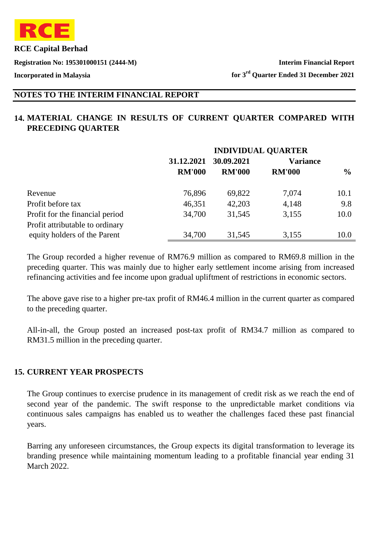

**Registration No: 195301000151 (2444-M) Interim Financial Report**

**Incorporated in Malaysia for 3rd Quarter Ended 31 December 2021**

# **NOTES TO THE INTERIM FINANCIAL REPORT**

# **14. MATERIAL CHANGE IN RESULTS OF CURRENT QUARTER COMPARED WITH PRECEDING QUARTER**

|                                 | <b>INDIVIDUAL QUARTER</b> |               |                 |               |  |
|---------------------------------|---------------------------|---------------|-----------------|---------------|--|
|                                 | 31.12.2021                | 30.09.2021    | <b>Variance</b> |               |  |
|                                 | <b>RM'000</b>             | <b>RM'000</b> | <b>RM'000</b>   | $\frac{6}{9}$ |  |
| Revenue                         | 76,896                    | 69,822        | 7,074           | 10.1          |  |
| Profit before tax               | 46,351                    | 42,203        | 4,148           | 9.8           |  |
| Profit for the financial period | 34,700                    | 31,545        | 3,155           | 10.0          |  |
| Profit attributable to ordinary |                           |               |                 |               |  |
| equity holders of the Parent    | 34,700                    | 31,545        | 3,155           | 10.0          |  |

The Group recorded a higher revenue of RM76.9 million as compared to RM69.8 million in the preceding quarter. This was mainly due to higher early settlement income arising from increased refinancing activities and fee income upon gradual upliftment of restrictions in economic sectors.

The above gave rise to a higher pre-tax profit of RM46.4 million in the current quarter as compared to the preceding quarter.

All-in-all, the Group posted an increased post-tax profit of RM34.7 million as compared to RM31.5 million in the preceding quarter.

#### **15. CURRENT YEAR PROSPECTS**

The Group continues to exercise prudence in its management of credit risk as we reach the end of second year of the pandemic. The swift response to the unpredictable market conditions via continuous sales campaigns has enabled us to weather the challenges faced these past financial years.

Barring any unforeseen circumstances, the Group expects its digital transformation to leverage its branding presence while maintaining momentum leading to a profitable financial year ending 31 March 2022.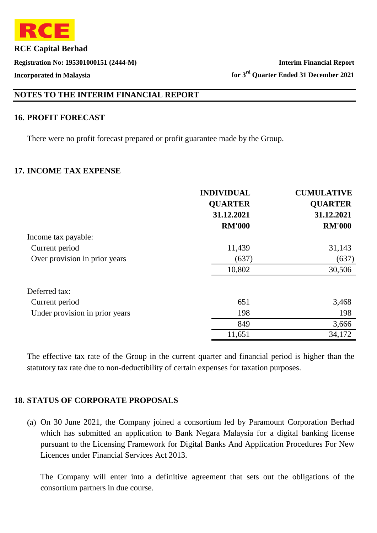

# **NOTES TO THE INTERIM FINANCIAL REPORT**

#### **16. PROFIT FORECAST**

There were no profit forecast prepared or profit guarantee made by the Group.

#### **17. INCOME TAX EXPENSE**

|                                | <b>INDIVIDUAL</b><br><b>QUARTER</b> | <b>CUMULATIVE</b><br><b>QUARTER</b> |
|--------------------------------|-------------------------------------|-------------------------------------|
|                                | 31.12.2021                          | 31.12.2021                          |
|                                | <b>RM'000</b>                       | <b>RM'000</b>                       |
| Income tax payable:            |                                     |                                     |
| Current period                 | 11,439                              | 31,143                              |
| Over provision in prior years  | (637)                               | (637)                               |
|                                | 10,802                              | 30,506                              |
| Deferred tax:                  |                                     |                                     |
| Current period                 | 651                                 | 3,468                               |
| Under provision in prior years | 198                                 | 198                                 |
|                                | 849                                 | 3,666                               |
|                                | 11,651                              | 34,172                              |

The effective tax rate of the Group in the current quarter and financial period is higher than the statutory tax rate due to non-deductibility of certain expenses for taxation purposes.

#### **18. STATUS OF CORPORATE PROPOSALS**

(a) On 30 June 2021, the Company joined a consortium led by Paramount Corporation Berhad which has submitted an application to Bank Negara Malaysia for a digital banking license pursuant to the Licensing Framework for Digital Banks And Application Procedures For New Licences under Financial Services Act 2013.

The Company will enter into a definitive agreement that sets out the obligations of the consortium partners in due course.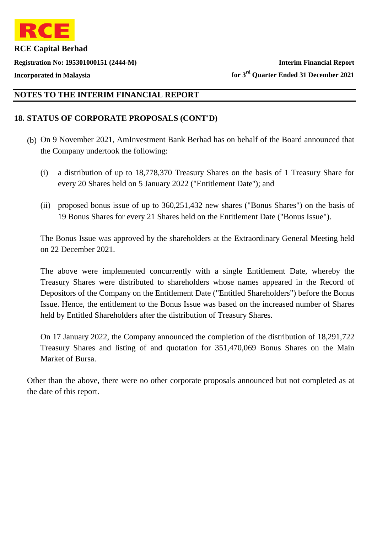

# **NOTES TO THE INTERIM FINANCIAL REPORT**

## **18. STATUS OF CORPORATE PROPOSALS (CONT'D)**

- (b) On 9 November 2021, AmInvestment Bank Berhad has on behalf of the Board announced that the Company undertook the following:
	- (i) a distribution of up to 18,778,370 Treasury Shares on the basis of 1 Treasury Share for every 20 Shares held on 5 January 2022 ("Entitlement Date''); and
	- (ii) proposed bonus issue of up to 360,251,432 new shares ("Bonus Shares") on the basis of 19 Bonus Shares for every 21 Shares held on the Entitlement Date ("Bonus Issue").

The Bonus Issue was approved by the shareholders at the Extraordinary General Meeting held on 22 December 2021.

The above were implemented concurrently with a single Entitlement Date, whereby the Treasury Shares were distributed to shareholders whose names appeared in the Record of Depositors of the Company on the Entitlement Date ("Entitled Shareholders") before the Bonus Issue. Hence, the entitlement to the Bonus Issue was based on the increased number of Shares held by Entitled Shareholders after the distribution of Treasury Shares.

On 17 January 2022, the Company announced the completion of the distribution of 18,291,722 Treasury Shares and listing of and quotation for 351,470,069 Bonus Shares on the Main Market of Bursa.

Other than the above, there were no other corporate proposals announced but not completed as at the date of this report.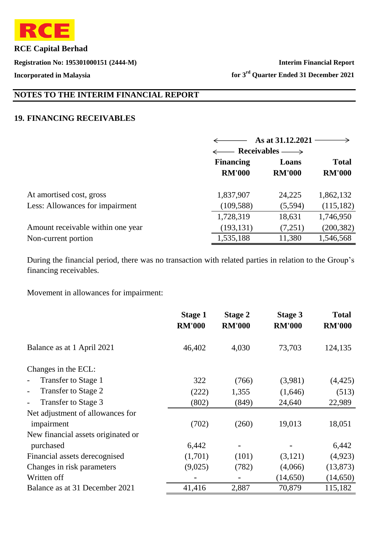

**Registration No: 195301000151 (2444-M) Interim Financial Report Incorporated in Malaysia for 3rd Quarter Ended 31 December 2021**

# **NOTES TO THE INTERIM FINANCIAL REPORT**

#### **19. FINANCING RECEIVABLES**

|                                   |                          | As at 31.12.2021 |               |  |
|-----------------------------------|--------------------------|------------------|---------------|--|
|                                   | $\leftarrow$ Receivables |                  |               |  |
|                                   | <b>Financing</b>         | Loans            |               |  |
|                                   | <b>RM'000</b>            | <b>RM'000</b>    | <b>RM'000</b> |  |
| At amortised cost, gross          | 1,837,907                | 24,225           | 1,862,132     |  |
| Less: Allowances for impairment   | (109, 588)               | (5,594)          | (115, 182)    |  |
|                                   | 1,728,319                | 18,631           | 1,746,950     |  |
| Amount receivable within one year | (193, 131)               | (7,251)          | (200, 382)    |  |
| Non-current portion               | 1,535,188                | 11,380           | 1,546,568     |  |

During the financial period, there was no transaction with related parties in relation to the Group's financing receivables.

Movement in allowances for impairment:

|                                                 | <b>Stage 1</b><br><b>RM'000</b> | <b>Stage 2</b><br><b>RM'000</b> | <b>Stage 3</b><br><b>RM'000</b> | <b>Total</b><br><b>RM'000</b> |
|-------------------------------------------------|---------------------------------|---------------------------------|---------------------------------|-------------------------------|
| Balance as at 1 April 2021                      | 46,402                          | 4,030                           | 73,703                          | 124,135                       |
| Changes in the ECL:                             |                                 |                                 |                                 |                               |
| Transfer to Stage 1                             | 322                             | (766)                           | (3,981)                         | (4, 425)                      |
| Transfer to Stage 2<br>$\overline{\phantom{a}}$ | (222)                           | 1,355                           | (1,646)                         | (513)                         |
| Transfer to Stage 3                             | (802)                           | (849)                           | 24,640                          | 22,989                        |
| Net adjustment of allowances for                |                                 |                                 |                                 |                               |
| impairment                                      | (702)                           | (260)                           | 19,013                          | 18,051                        |
| New financial assets originated or              |                                 |                                 |                                 |                               |
| purchased                                       | 6,442                           |                                 |                                 | 6,442                         |
| Financial assets derecognised                   | (1,701)                         | (101)                           | (3,121)                         | (4,923)                       |
| Changes in risk parameters                      | (9,025)                         | (782)                           | (4,066)                         | (13, 873)                     |
| Written off                                     |                                 |                                 | (14,650)                        | (14,650)                      |
| Balance as at 31 December 2021                  | 41,416                          | 2,887                           | 70,879                          | 115,182                       |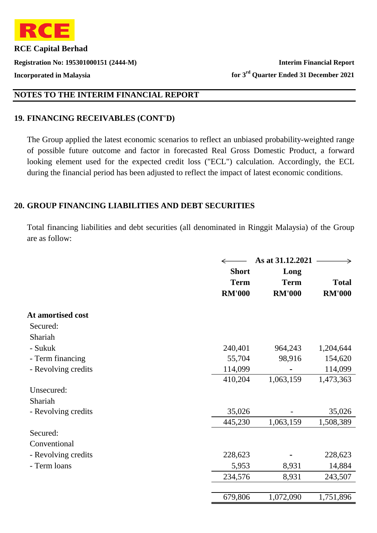

# **NOTES TO THE INTERIM FINANCIAL REPORT**

## **19. FINANCING RECEIVABLES (CONT'D)**

The Group applied the latest economic scenarios to reflect an unbiased probability-weighted range of possible future outcome and factor in forecasted Real Gross Domestic Product, a forward looking element used for the expected credit loss ("ECL") calculation. Accordingly, the ECL during the financial period has been adjusted to reflect the impact of latest economic conditions.

### **20. GROUP FINANCING LIABILITIES AND DEBT SECURITIES**

Total financing liabilities and debt securities (all denominated in Ringgit Malaysia) of the Group are as follow:

|                     |               | As at 31.12.2021 |               |
|---------------------|---------------|------------------|---------------|
|                     | <b>Short</b>  | Long             |               |
|                     | <b>Term</b>   | <b>Term</b>      | <b>Total</b>  |
|                     | <b>RM'000</b> | <b>RM'000</b>    | <b>RM'000</b> |
| At amortised cost   |               |                  |               |
| Secured:            |               |                  |               |
| Shariah             |               |                  |               |
| - Sukuk             | 240,401       | 964,243          | 1,204,644     |
| - Term financing    | 55,704        | 98,916           | 154,620       |
| - Revolving credits | 114,099       |                  | 114,099       |
|                     | 410,204       | 1,063,159        | 1,473,363     |
| Unsecured:          |               |                  |               |
| Shariah             |               |                  |               |
| - Revolving credits | 35,026        |                  | 35,026        |
|                     | 445,230       | 1,063,159        | 1,508,389     |
| Secured:            |               |                  |               |
| Conventional        |               |                  |               |
| - Revolving credits | 228,623       |                  | 228,623       |
| - Term loans        | 5,953         | 8,931            | 14,884        |
|                     | 234,576       | 8,931            | 243,507       |
|                     |               |                  |               |
|                     | 679,806       | 1,072,090        | 1,751,896     |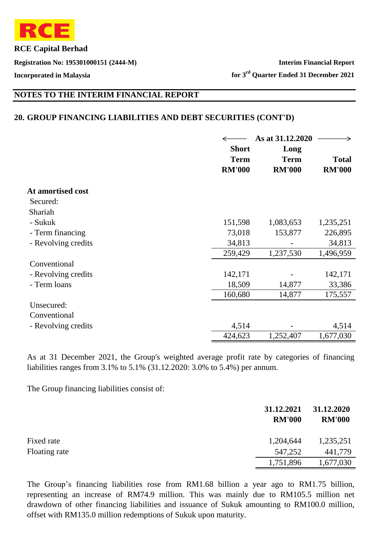

**Registration No: 195301000151 (2444-M) Interim Financial Report**

**Incorporated in Malaysia for 3rd Quarter Ended 31 December 2021**

## **NOTES TO THE INTERIM FINANCIAL REPORT**

#### **20. GROUP FINANCING LIABILITIES AND DEBT SECURITIES (CONT'D)**

|                     | <b>Short</b>                 | As at 31.12.2020<br>Long     |                               |
|---------------------|------------------------------|------------------------------|-------------------------------|
|                     | <b>Term</b><br><b>RM'000</b> | <b>Term</b><br><b>RM'000</b> | <b>Total</b><br><b>RM'000</b> |
| At amortised cost   |                              |                              |                               |
| Secured:            |                              |                              |                               |
| Shariah             |                              |                              |                               |
| - Sukuk             | 151,598                      | 1,083,653                    | 1,235,251                     |
| - Term financing    | 73,018                       | 153,877                      | 226,895                       |
| - Revolving credits | 34,813                       |                              | 34,813                        |
|                     | 259,429                      | 1,237,530                    | 1,496,959                     |
| Conventional        |                              |                              |                               |
| - Revolving credits | 142,171                      |                              | 142,171                       |
| - Term loans        | 18,509                       | 14,877                       | 33,386                        |
|                     | 160,680                      | 14,877                       | 175,557                       |
| Unsecured:          |                              |                              |                               |
| Conventional        |                              |                              |                               |
| - Revolving credits | 4,514                        |                              | 4,514                         |
|                     | 424,623                      | 1,252,407                    | 1,677,030                     |

As at 31 December 2021, the Group's weighted average profit rate by categories of financing liabilities ranges from 3.1% to 5.1% (31.12.2020: 3.0% to 5.4%) per annum.

The Group financing liabilities consist of:

|               | 31.12.2021<br><b>RM'000</b> | 31.12.2020<br><b>RM'000</b> |
|---------------|-----------------------------|-----------------------------|
| Fixed rate    | 1,204,644                   | 1,235,251                   |
| Floating rate | 547,252                     | 441,779                     |
|               | 1,751,896                   | 1,677,030                   |

The Group's financing liabilities rose from RM1.68 billion a year ago to RM1.75 billion, representing an increase of RM74.9 million. This was mainly due to RM105.5 million net drawdown of other financing liabilities and issuance of Sukuk amounting to RM100.0 million, offset with RM135.0 million redemptions of Sukuk upon maturity.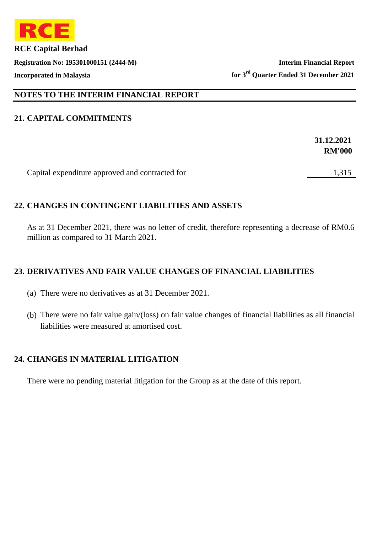

**Registration No: 195301000151 (2444-M) Interim Financial Report Incorporated in Malaysia for 3rd Quarter Ended 31 December 2021**

## **NOTES TO THE INTERIM FINANCIAL REPORT**

## **21. CAPITAL COMMITMENTS**

|                                                 | 31.12.2021    |
|-------------------------------------------------|---------------|
|                                                 | <b>RM'000</b> |
|                                                 |               |
| Capital expenditure approved and contracted for | 1,315         |

## **22. CHANGES IN CONTINGENT LIABILITIES AND ASSETS**

As at 31 December 2021, there was no letter of credit, therefore representing a decrease of RM0.6 million as compared to 31 March 2021.

## **23. DERIVATIVES AND FAIR VALUE CHANGES OF FINANCIAL LIABILITIES**

- (a) There were no derivatives as at 31 December 2021.
- (b) There were no fair value gain/(loss) on fair value changes of financial liabilities as all financial liabilities were measured at amortised cost.

## **24. CHANGES IN MATERIAL LITIGATION**

There were no pending material litigation for the Group as at the date of this report.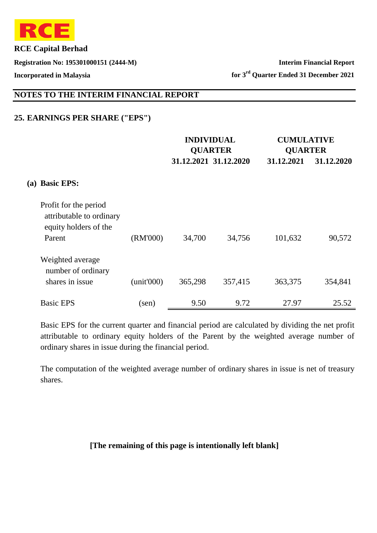

**Registration No: 195301000151 (2444-M) Interim Financial Report Incorporated in Malaysia for 3rd Quarter Ended 31 December 2021**

# **NOTES TO THE INTERIM FINANCIAL REPORT**

## **25. EARNINGS PER SHARE ("EPS")**

|            |                                                                            | <b>INDIVIDUAL</b><br><b>QUARTER</b> |         |                       |            | <b>CUMULATIVE</b><br><b>QUARTER</b> |  |  |
|------------|----------------------------------------------------------------------------|-------------------------------------|---------|-----------------------|------------|-------------------------------------|--|--|
|            |                                                                            |                                     |         | 31.12.2021 31.12.2020 | 31.12.2021 | 31.12.2020                          |  |  |
| <b>(a)</b> | <b>Basic EPS:</b>                                                          |                                     |         |                       |            |                                     |  |  |
|            | Profit for the period<br>attributable to ordinary<br>equity holders of the |                                     |         |                       |            |                                     |  |  |
|            | Parent                                                                     | (RM'000)                            | 34,700  | 34,756                | 101,632    | 90,572                              |  |  |
|            | Weighted average<br>number of ordinary                                     |                                     |         |                       |            |                                     |  |  |
|            | shares in issue                                                            | (unit'000)                          | 365,298 | 357,415               | 363,375    | 354,841                             |  |  |
|            | <b>Basic EPS</b>                                                           | (sen)                               | 9.50    | 9.72                  | 27.97      | 25.52                               |  |  |

Basic EPS for the current quarter and financial period are calculated by dividing the net profit attributable to ordinary equity holders of the Parent by the weighted average number of ordinary shares in issue during the financial period.

The computation of the weighted average number of ordinary shares in issue is net of treasury shares.

#### **[The remaining of this page is intentionally left blank]**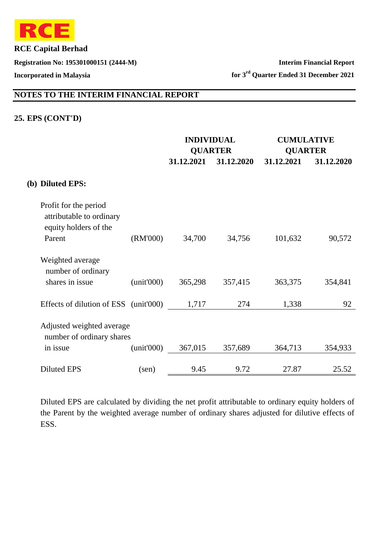

**Registration No: 195301000151 (2444-M) Interim Financial Report Incorporated in Malaysia for 3rd Quarter Ended 31 December 2021**

# **NOTES TO THE INTERIM FINANCIAL REPORT**

## **25. EPS (CONT'D)**

|                                                                            |                | <b>INDIVIDUAL</b> |                | <b>CUMULATIVE</b> |            |
|----------------------------------------------------------------------------|----------------|-------------------|----------------|-------------------|------------|
|                                                                            |                |                   | <b>QUARTER</b> | <b>QUARTER</b>    |            |
|                                                                            |                | 31.12.2021        | 31.12.2020     | 31.12.2021        | 31.12.2020 |
| (b) Diluted EPS:                                                           |                |                   |                |                   |            |
| Profit for the period<br>attributable to ordinary<br>equity holders of the |                |                   |                |                   |            |
| Parent                                                                     | (RM'000)       | 34,700            | 34,756         | 101,632           | 90,572     |
| Weighted average<br>number of ordinary                                     |                |                   |                |                   |            |
| shares in issue                                                            | (unit'000)     | 365,298           | 357,415        | 363,375           | 354,841    |
| Effects of dilution of ESS (unit'000)                                      |                | 1,717             | 274            | 1,338             | 92         |
| Adjusted weighted average<br>number of ordinary shares                     |                |                   |                |                   |            |
| in issue                                                                   | (unit'000)     | 367,015           | 357,689        | 364,713           | 354,933    |
| <b>Diluted EPS</b>                                                         | $(\text{sen})$ | 9.45              | 9.72           | 27.87             | 25.52      |

Diluted EPS are calculated by dividing the net profit attributable to ordinary equity holders of the Parent by the weighted average number of ordinary shares adjusted for dilutive effects of ESS.